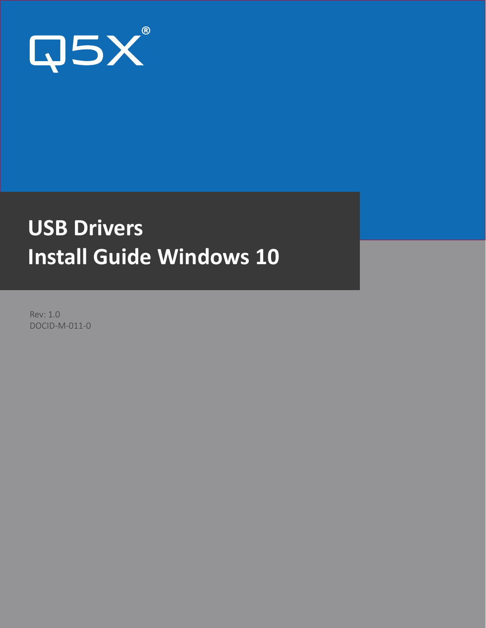

# **USB Drivers Install Guide Windows 10**

Rev: 1.0 DOCID-M-011-0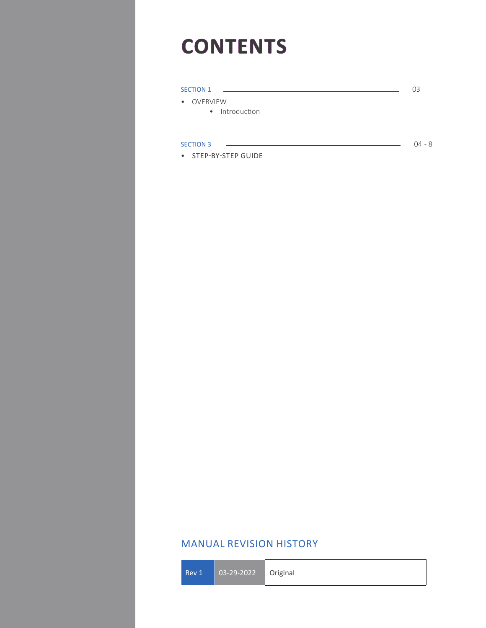# **CONTENTS**

| <b>SECTION 1</b>             | 03       |
|------------------------------|----------|
| • OVERVIEW<br>• Introduction |          |
|                              |          |
| <b>SECTION 3</b>             | $04 - 8$ |
| • STEP-BY-STEP GUIDE         |          |

## MANUAL REVISION HISTORY

Rev 1 03-29-2022 Original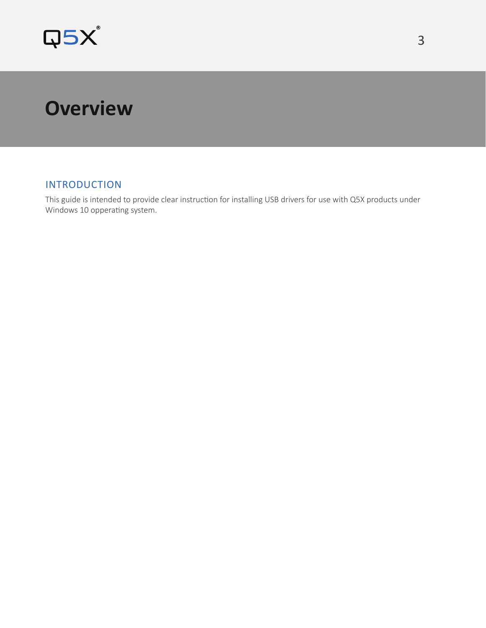

# **Overview**

## INTRODUCTION

This guide is intended to provide clear instruction for installing USB drivers for use with Q5X products under Windows 10 opperating system.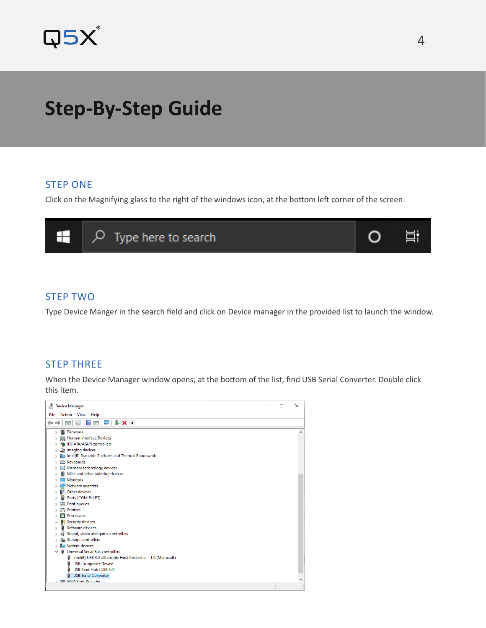

# **Step-By-Step Guide**

#### STEP ONE

Click on the Magnifying glass to the right of the windows icon, at the bottom left corner of the screen.



### STEP TWO

Type Device Manger in the search field and click on Device manager in the provided list to launch the window.

#### STEP THREE

When the Device Manager window opens; at the bottom of the list, find USB Serial Converter. Double click this item.

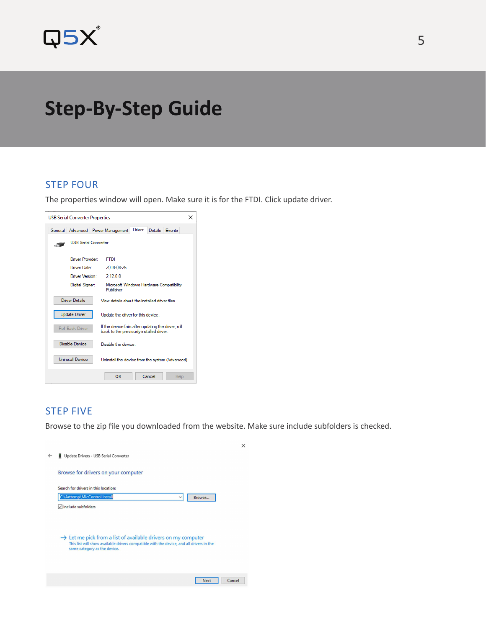

# **Step-By-Step Guide**

#### STEP FOUR

 $\overline{a}$ 

The properties window will open. Make sure it is for the FTDI. Click update driver.

| <b>USB Serial Converter Properties</b><br>$\times$                                                                         |                                                                   |  |  |  |
|----------------------------------------------------------------------------------------------------------------------------|-------------------------------------------------------------------|--|--|--|
| General                                                                                                                    | Driver<br>Details<br>Advanced   Power Management<br><b>Fvents</b> |  |  |  |
| <b>USB Serial Converter</b>                                                                                                |                                                                   |  |  |  |
| Driver Provider:<br><b>FTDI</b>                                                                                            |                                                                   |  |  |  |
| Driver Date:<br>2014-08-26                                                                                                 |                                                                   |  |  |  |
| Driver Version:<br>2.12.0.0                                                                                                |                                                                   |  |  |  |
| Digital Signer:<br>Microsoft Windows Hardware Compatibility<br>Publisher                                                   |                                                                   |  |  |  |
| <b>Driver Details</b><br>View details about the installed driver files                                                     |                                                                   |  |  |  |
| <b>Update Driver</b><br>Update the driver for this device.                                                                 |                                                                   |  |  |  |
| If the device fails after updating the driver, roll<br><b>Roll Back Driver</b><br>back to the previously installed driver. |                                                                   |  |  |  |
| <b>Disable Device</b>                                                                                                      | Disable the device                                                |  |  |  |
| <b>Uninstall Device</b>                                                                                                    | Uninstall the device from the system (Advanced).                  |  |  |  |
|                                                                                                                            | OK<br>Cancel<br>Help                                              |  |  |  |

### STEP FIVE

Browse to the zip file you downloaded from the website. Make sure include subfolders is checked.

|   |                                                                                                                                                                                                       | $\times$ |
|---|-------------------------------------------------------------------------------------------------------------------------------------------------------------------------------------------------------|----------|
| ← | Update Drivers - USB Serial Converter<br>ш                                                                                                                                                            |          |
|   | Browse for drivers on your computer                                                                                                                                                                   |          |
|   | Search for drivers in this location:<br>C:\Arttemp\MicControl Install<br>Browse<br>$\checkmark$<br>$\boxdot$ Include subfolders                                                                       |          |
|   | $\rightarrow$ Let me pick from a list of available drivers on my computer<br>This list will show available drivers compatible with the device, and all drivers in the<br>same category as the device. |          |
|   | Cancel<br><b>Next</b>                                                                                                                                                                                 |          |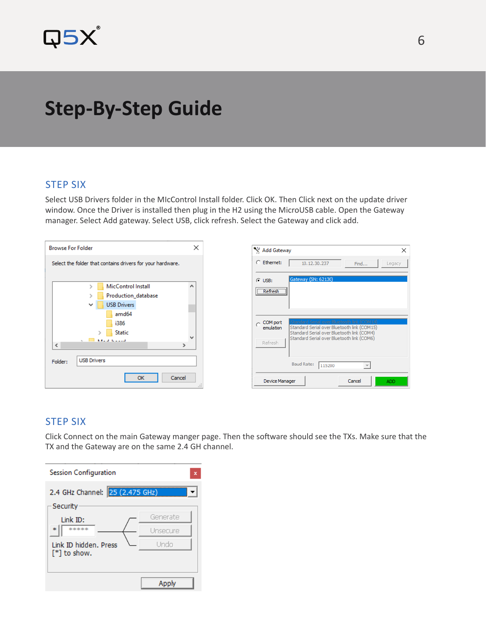

# **Step-By-Step Guide**

### STEP SIX

Select USB Drivers folder in the MIcControl Install folder. Click OK. Then Click next on the update driver window. Once the Driver is installed then plug in the H2 using the MicroUSB cable. Open the Gateway manager. Select Add gateway. Select USB, click refresh. Select the Gateway and click add.

| <b>Browse For Folder</b>                                   |                                     | × |  |
|------------------------------------------------------------|-------------------------------------|---|--|
| Select the folder that contains drivers for your hardware. |                                     |   |  |
|                                                            | MicControl Install<br>$\mathcal{P}$ | ۸ |  |
|                                                            | Production_database<br>⋗            |   |  |
|                                                            | <b>USB Drivers</b>                  |   |  |
|                                                            | amd64                               |   |  |
|                                                            | i386                                |   |  |
|                                                            | <b>Static</b><br>$\mathbf{S}$       | w |  |
| e                                                          | March Books<br>$\rightarrow$        |   |  |
|                                                            |                                     |   |  |
| Folder:                                                    | <b>USB Drivers</b>                  |   |  |
|                                                            | Cancel<br><b>OK</b>                 | æ |  |

| Add Gateway                                                                                                                                                                                                                | ×                              |  |  |
|----------------------------------------------------------------------------------------------------------------------------------------------------------------------------------------------------------------------------|--------------------------------|--|--|
| C Ethernet:                                                                                                                                                                                                                | 10.12.30.237<br>Find<br>Legacy |  |  |
| $G$ USB:<br>Refresh                                                                                                                                                                                                        | Gateway (SN: 62130)            |  |  |
| Standard Serial over Bluetooth link (COM14)<br>COM port<br>Standard Serial over Bluetooth link (COM15)<br>emulation<br>Standard Serial over Bluetooth link (COM4)<br>Standard Serial over Bluetooth link (COM6)<br>Refresh |                                |  |  |
|                                                                                                                                                                                                                            | <b>Baud Rate:</b><br>115200    |  |  |
| Cancel<br>Device Manager<br><b>ADD</b>                                                                                                                                                                                     |                                |  |  |

### STEP SIX

Click Connect on the main Gateway manger page. Then the software should see the TXs. Make sure that the TX and the Gateway are on the same 2.4 GH channel.

| <b>Session Configuration</b><br>x      |          |  |  |  |
|----------------------------------------|----------|--|--|--|
| 2.4 GHz Channel: 25 (2.475 GHz)        |          |  |  |  |
| Security                               | Generate |  |  |  |
| Link ID:<br>sic sic sic sic sic<br>sk. | Unsecure |  |  |  |
| Link ID hidden, Press<br>[*] to show.  | Undo     |  |  |  |
|                                        |          |  |  |  |
|                                        | Apply    |  |  |  |